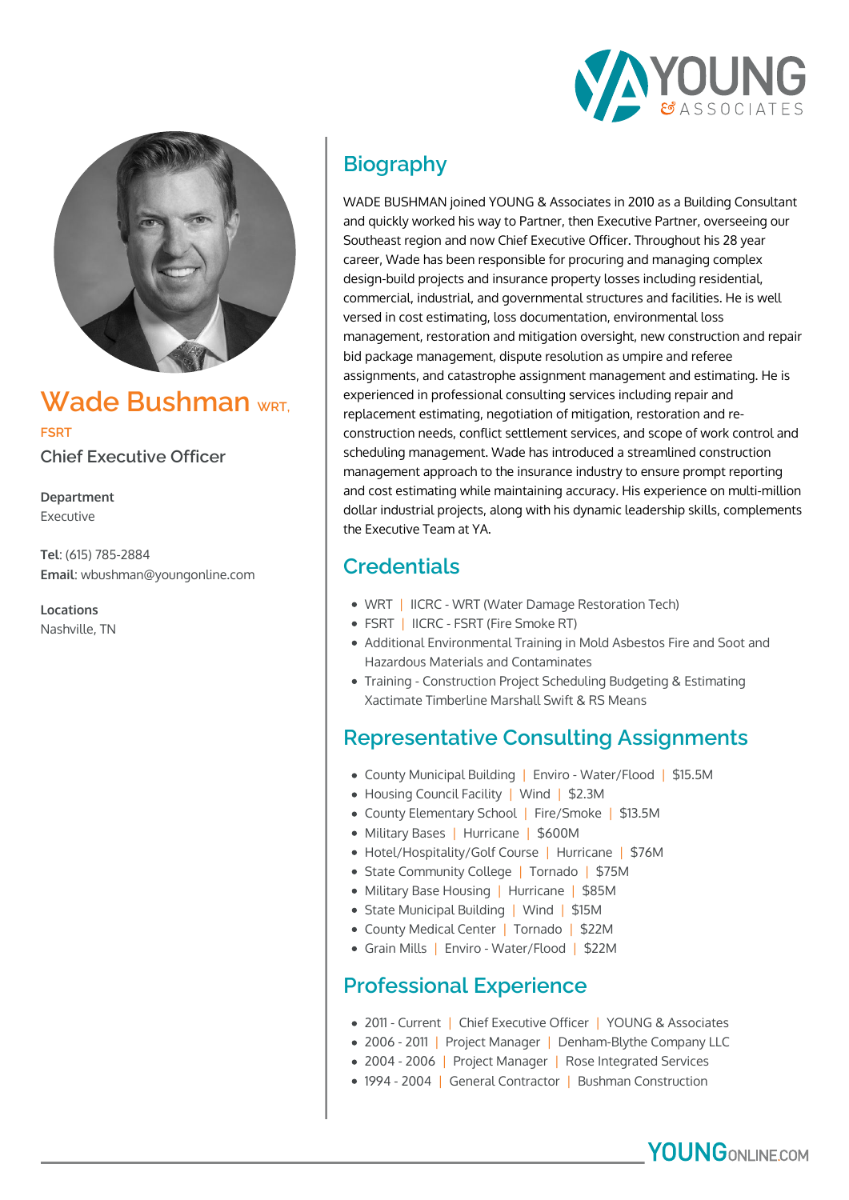



## **Wade Bushman WRT,**

**FSRT**

**Chief Executive Officer**

**Department** Executive

**Tel**: (615) 785-2884 **Email**: wbushman@youngonline.com

**Locations** Nashville, TN

# **Biography**

WADE BUSHMAN joined YOUNG & Associates in 2010 as a Building Consultant and quickly worked his way to Partner, then Executive Partner, overseeing our Southeast region and now Chief Executive Officer. Throughout his 28 year career, Wade has been responsible for procuring and managing complex design-build projects and insurance property losses including residential, commercial, industrial, and governmental structures and facilities. He is well versed in cost estimating, loss documentation, environmental loss management, restoration and mitigation oversight, new construction and repair bid package management, dispute resolution as umpire and referee assignments, and catastrophe assignment management and estimating. He is experienced in professional consulting services including repair and replacement estimating, negotiation of mitigation, restoration and reconstruction needs, conflict settlement services, and scope of work control and scheduling management. Wade has introduced a streamlined construction management approach to the insurance industry to ensure prompt reporting and cost estimating while maintaining accuracy. His experience on multi-million dollar industrial projects, along with his dynamic leadership skills, complements the Executive Team at YA.

## **Credentials**

- WRT | IICRC WRT (Water Damage Restoration Tech)
- FSRT | IICRC FSRT (Fire Smoke RT)
- Additional Environmental Training in Mold Asbestos Fire and Soot and Hazardous Materials and Contaminates
- Training Construction Project Scheduling Budgeting & Estimating Xactimate Timberline Marshall Swift & RS Means

### **Representative Consulting Assignments**

- County Municipal Building | Enviro Water/Flood | \$15.5M
- Housing Council Facility | Wind | \$2.3M
- County Elementary School | Fire/Smoke | \$13.5M
- Military Bases | Hurricane | \$600M
- Hotel/Hospitality/Golf Course | Hurricane | \$76M
- State Community College | Tornado | \$75M
- Military Base Housing | Hurricane | \$85M
- State Municipal Building | Wind | \$15M
- County Medical Center | Tornado | \$22M
- Grain Mills | Enviro Water/Flood | \$22M

#### **Professional Experience**

- 2011 Current | Chief Executive Officer | YOUNG & Associates
- 2006 2011 | Project Manager | Denham-Blythe Company LLC
- 2004 2006 | Project Manager | Rose Integrated Services
- 1994 2004 | General Contractor | Bushman Construction